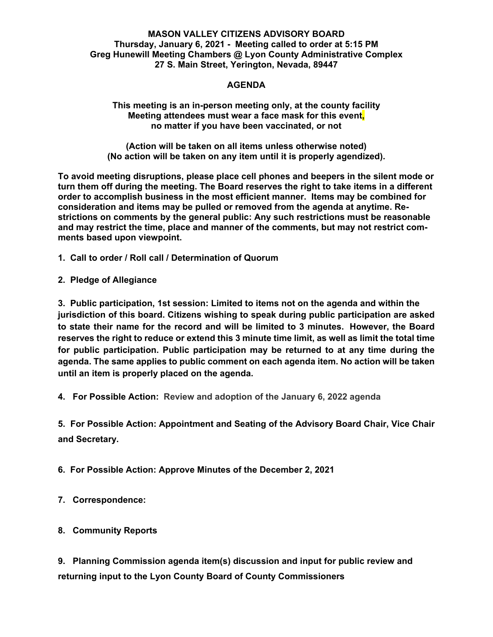#### **MASON VALLEY CITIZENS ADVISORY BOARD Thursday, January 6, 2021 - Meeting called to order at 5:15 PM Greg Hunewill Meeting Chambers @ Lyon County Administrative Complex 27 S. Main Street, Yerington, Nevada, 89447**

## **AGENDA**

**This meeting is an in-person meeting only, at the county facility Meeting attendees must wear a face mask for this event, no matter if you have been vaccinated, or not** 

**(Action will be taken on all items unless otherwise noted) (No action will be taken on any item until it is properly agendized).** 

**To avoid meeting disruptions, please place cell phones and beepers in the silent mode or turn them off during the meeting. The Board reserves the right to take items in a different order to accomplish business in the most efficient manner. Items may be combined for consideration and items may be pulled or removed from the agenda at anytime. Restrictions on comments by the general public: Any such restrictions must be reasonable and may restrict the time, place and manner of the comments, but may not restrict comments based upon viewpoint.** 

**1. Call to order / Roll call / Determination of Quorum** 

**2. Pledge of Allegiance** 

**3. Public participation, 1st session: Limited to items not on the agenda and within the jurisdiction of this board. Citizens wishing to speak during public participation are asked to state their name for the record and will be limited to 3 minutes. However, the Board reserves the right to reduce or extend this 3 minute time limit, as well as limit the total time for public participation. Public participation may be returned to at any time during the agenda. The same applies to public comment on each agenda item. No action will be taken until an item is properly placed on the agenda.** 

**4. For Possible Action: Review and adoption of the January 6, 2022 agenda** 

**5. For Possible Action: Appointment and Seating of the Advisory Board Chair, Vice Chair and Secretary.** 

**6. For Possible Action: Approve Minutes of the December 2, 2021** 

**7. Correspondence:** 

**8. Community Reports** 

**9. Planning Commission agenda item(s) discussion and input for public review and returning input to the Lyon County Board of County Commissioners**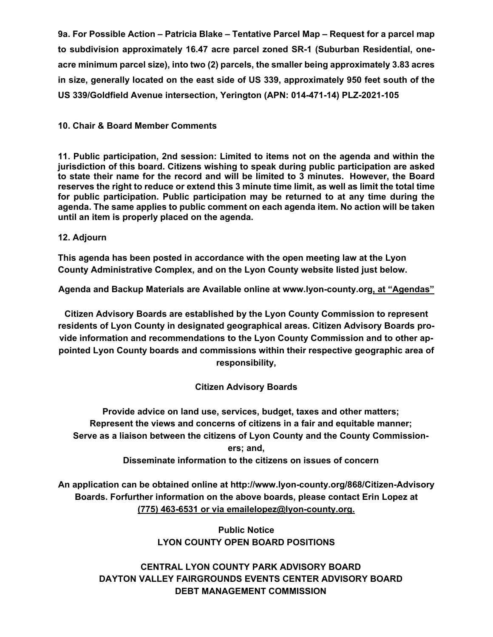**9a. For Possible Action – Patricia Blake – Tentative Parcel Map – Request for a parcel map to subdivision approximately 16.47 acre parcel zoned SR-1 (Suburban Residential, oneacre minimum parcel size), into two (2) parcels, the smaller being approximately 3.83 acres in size, generally located on the east side of US 339, approximately 950 feet south of the US 339/Goldfield Avenue intersection, Yerington (APN: 014-471-14) PLZ-2021-105** 

## **10. Chair & Board Member Comments**

**11. Public participation, 2nd session: Limited to items not on the agenda and within the jurisdiction of this board. Citizens wishing to speak during public participation are asked to state their name for the record and will be limited to 3 minutes. However, the Board reserves the right to reduce or extend this 3 minute time limit, as well as limit the total time for public participation. Public participation may be returned to at any time during the agenda. The same applies to public comment on each agenda item. No action will be taken until an item is properly placed on the agenda.** 

### **12. Adjourn**

**This agenda has been posted in accordance with the open meeting law at the Lyon County Administrative Complex, and on the Lyon County website listed just below.** 

**Agenda and Backup Materials are Available online at www.lyon-county.org, at "Agendas"**

**Citizen Advisory Boards are established by the Lyon County Commission to represent residents of Lyon County in designated geographical areas. Citizen Advisory Boards provide information and recommendations to the Lyon County Commission and to other appointed Lyon County boards and commissions within their respective geographic area of responsibility,** 

# **Citizen Advisory Boards**

 **Provide advice on land use, services, budget, taxes and other matters; Represent the views and concerns of citizens in a fair and equitable manner; Serve as a liaison between the citizens of Lyon County and the County Commissioners; and,** 

 **Disseminate information to the citizens on issues of concern** 

**An application can be obtained online at http://www.lyon-county.org/868/Citizen-Advisory Boards. Forfurther information on the above boards, please contact Erin Lopez at (775) 463-6531 or via emailelopez@lyon-county.org.** 

> **Public Notice LYON COUNTY OPEN BOARD POSITIONS**

 **CENTRAL LYON COUNTY PARK ADVISORY BOARD DAYTON VALLEY FAIRGROUNDS EVENTS CENTER ADVISORY BOARD DEBT MANAGEMENT COMMISSION**